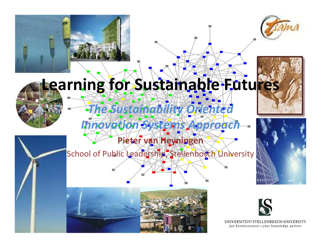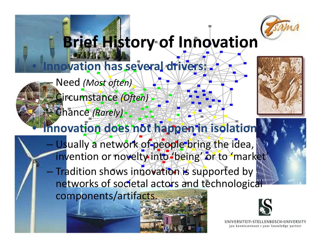

# **Brief History of Innovation**

## **Innovation has several drivers:** Need *(Most often)*

Circumstance *(Often)*

Chance *(Rarely)*

 $\bullet$ 

–

#### **Innovation does not happen in isolation**

– Usually a network of people bring the idea, invention or novelty into 'being' or to 'market'

— Tradition shows innovation is supported by networks of societal actors and technological components/artifacts.





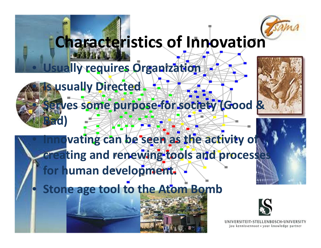# **Characteristics of Innovation**

## **Usually requires Organization**

 $\bigcirc$ 

 $\Box$ 

 $\Box$ 

 $\bigcirc$ 

**Is usually Directed**

 **Serves some purpose for society (Good & Bad)**

**Innovational** *be* **seen** as the activity of **reating and renewing tools and processe for human development.**

**Stone age tool to the Atom Bomb**

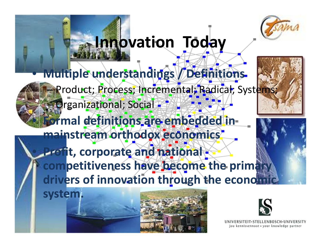

## **Innovation Today**

• **Multiple understandings / Definitions** Product; Process; Incremental; Radical; Systems; Organizational; Social - $\bigcirc$  **Formal definitions are embedded in mainstream orthodox economics Profit, corporate and national competitiveness have become the primary drivers of innovation through the economic system.**





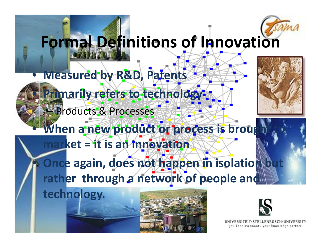# **Formal Definitions of Innovation**

### **Measured by R&D, Patents Primarily refers to technology** – Products & Processes



 **When a new product or process is brought to market <sup>=</sup> it is an innovation**

 **Once again, does not happen in isolation but rather through <sup>a</sup> network of people and**

**technology.**

 $\bullet$ 

 $\Box$ 

 $\bullet$ 

•



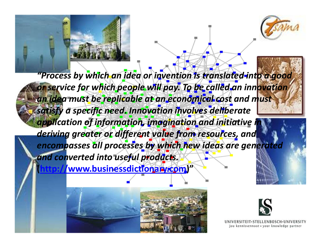

*"Process by which an idea or invention is translated into <sup>a</sup> good or service for which people will pay. To be called an innovation an idea must be replicable at an economical cost and must satisfy <sup>a</sup> specific need. Innovation involves deliberate application of information, imagination and initiative in deriving greater or different value from resources, and encompasses all processes by which new ideas are generated and converted into useful products.*

**(http://www.businessdictionary.com)"**



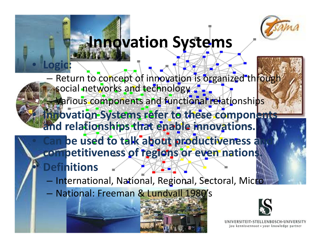

## **Innovation Systems**

Return to concept of innovation is organized through social networks and technology Various components and functional relationships **Innovation Systems refer to these components and relationships that enable innovations. be used to talk about productiveness and**



- International, National, Regional, Sectoral, Micro
- National: Freeman & Lundvall 1980's

 $\bigodot$ 

•

•

**Definitions**

**Logic:**

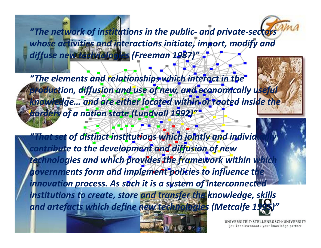*"The network of institutions in the public‐ and private‐sectors whose activities and interactions initiate, import, modify and diffuse new technologies (Freeman 1987)"*

*"The elements and relationships which interact in the production, diffusion and use of new, and economically useful knowledge… and are either located within or rooted inside the borders of <sup>a</sup> nation state (Lundvall 1992)"*

*"That set of distinct institutions which jointly and individually contribute to the development and diffusion of new technologies and which provides the framework within which governments form and implement policies to influence the innovation process. As such it is <sup>a</sup> system of interconnected institutions to create, store and transfer the knowledge, skills and artefacts which define new technologies (Metcalfe 1995)"*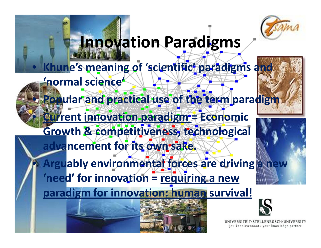

## **Innovation Paradigms**

#### $\bullet$ **Khune's meaning of 'scientific' paradigms and**

**'normal science'**

 $\bullet$ 

 $\bullet$ 

 $\bigcirc$ 

**Popular and practical use of the term paradigm**

 **Current innovation paradigm <sup>=</sup> Economic Growth & competitiveness, technological advancement for its own sake.**

 **Arguably environmental forces are driving <sup>a</sup> new 'need' for innovation <sup>=</sup> requiring <sup>a</sup> new paradigm for innovation: human survival!**

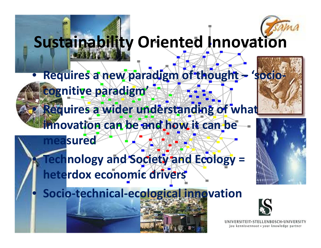

## **Sustainability Oriented Innovation**

 $\bullet$  **Requires <sup>a</sup> new paradigm of thought – 'socio‐ cognitive paradigm'**  $\bullet$ **Requires <sup>a</sup> wider understanding of what**

**innovation can be and how it can be measured**

#### **Technology and Society and Ecology <sup>=</sup> heterdox economic drivers**

**Socio‐technical‐ecological innovation**

 $\bigodot$ 

 $\bullet$ 

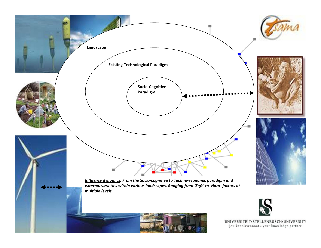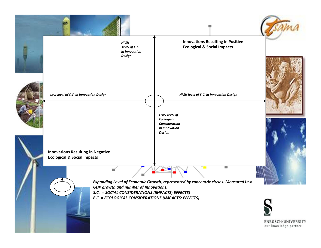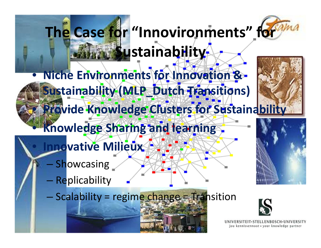# **The Case for "Innovironments" for Sustainability**

 **Niche Environments for Innovation & Sustainability (MLP\_Dutch Transitions) Provide Knowledge Clusters for Sustainability**

### **Knowledge Sharing and learning**

- **Innovative Milieux**
	- Showcasing

 $\bullet$ 

 $\bullet$ 

 $\bullet$ 

 $\bullet$ 

- Replicability
- Scalability = regime change = Transition



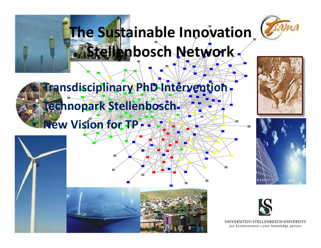